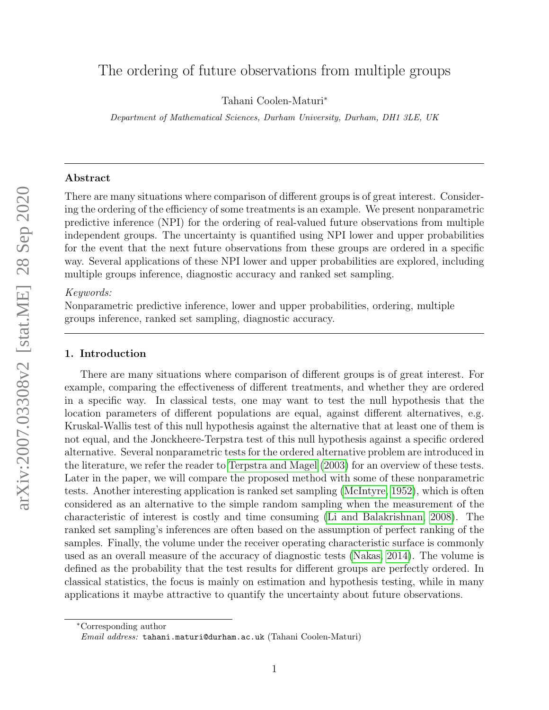# The ordering of future observations from multiple groups

Tahani Coolen-Maturi<sup>∗</sup>

Department of Mathematical Sciences, Durham University, Durham, DH1 3LE, UK

## Abstract

There are many situations where comparison of different groups is of great interest. Considering the ordering of the efficiency of some treatments is an example. We present nonparametric predictive inference (NPI) for the ordering of real-valued future observations from multiple independent groups. The uncertainty is quantified using NPI lower and upper probabilities for the event that the next future observations from these groups are ordered in a specific way. Several applications of these NPI lower and upper probabilities are explored, including multiple groups inference, diagnostic accuracy and ranked set sampling.

## Keywords:

Nonparametric predictive inference, lower and upper probabilities, ordering, multiple groups inference, ranked set sampling, diagnostic accuracy.

## 1. Introduction

There are many situations where comparison of different groups is of great interest. For example, comparing the effectiveness of different treatments, and whether they are ordered in a specific way. In classical tests, one may want to test the null hypothesis that the location parameters of different populations are equal, against different alternatives, e.g. Kruskal-Wallis test of this null hypothesis against the alternative that at least one of them is not equal, and the Jonckheere-Terpstra test of this null hypothesis against a specific ordered alternative. Several nonparametric tests for the ordered alternative problem are introduced in the literature, we refer the reader to [Terpstra and Magel](#page-20-0) [\(2003\)](#page-20-0) for an overview of these tests. Later in the paper, we will compare the proposed method with some of these nonparametric tests. Another interesting application is ranked set sampling [\(McIntyre, 1952\)](#page-20-1), which is often considered as an alternative to the simple random sampling when the measurement of the characteristic of interest is costly and time consuming [\(Li and Balakrishnan, 2008\)](#page-20-2). The ranked set sampling's inferences are often based on the assumption of perfect ranking of the samples. Finally, the volume under the receiver operating characteristic surface is commonly used as an overall measure of the accuracy of diagnostic tests [\(Nakas, 2014\)](#page-20-3). The volume is defined as the probability that the test results for different groups are perfectly ordered. In classical statistics, the focus is mainly on estimation and hypothesis testing, while in many applications it maybe attractive to quantify the uncertainty about future observations.

<sup>∗</sup>Corresponding author

Email address: tahani.maturi@durham.ac.uk (Tahani Coolen-Maturi)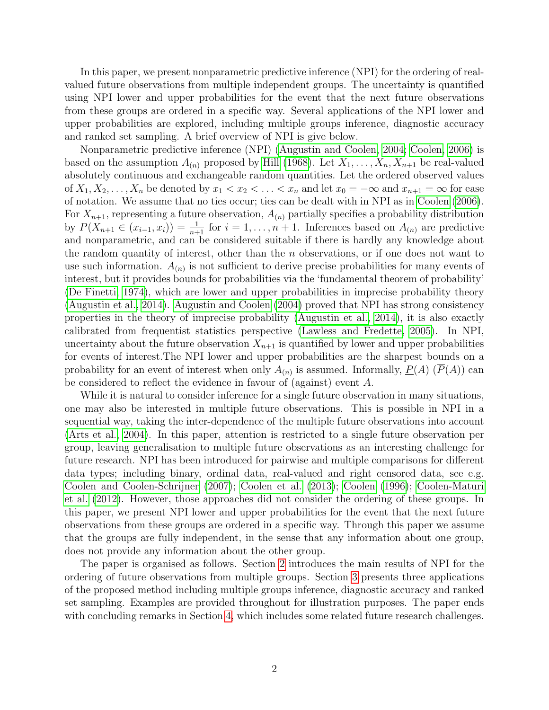In this paper, we present nonparametric predictive inference (NPI) for the ordering of realvalued future observations from multiple independent groups. The uncertainty is quantified using NPI lower and upper probabilities for the event that the next future observations from these groups are ordered in a specific way. Several applications of the NPI lower and upper probabilities are explored, including multiple groups inference, diagnostic accuracy and ranked set sampling. A brief overview of NPI is give below.

Nonparametric predictive inference (NPI) [\(Augustin and Coolen, 2004;](#page-19-0) [Coolen, 2006\)](#page-19-1) is based on the assumption  $A_{(n)}$  proposed by [Hill](#page-20-4) [\(1968\)](#page-20-4). Let  $X_1, \ldots, X_n, X_{n+1}$  be real-valued absolutely continuous and exchangeable random quantities. Let the ordered observed values of  $X_1, X_2, \ldots, X_n$  be denoted by  $x_1 < x_2 < \ldots < x_n$  and let  $x_0 = -\infty$  and  $x_{n+1} = \infty$  for ease of notation. We assume that no ties occur; ties can be dealt with in NPI as in [Coolen](#page-19-1) [\(2006\)](#page-19-1). For  $X_{n+1}$ , representing a future observation,  $A_{(n)}$  partially specifies a probability distribution by  $P(X_{n+1} \in (x_{i-1}, x_i)) = \frac{1}{n+1}$  for  $i = 1, \ldots, n+1$ . Inferences based on  $A_{(n)}$  are predictive and nonparametric, and can be considered suitable if there is hardly any knowledge about the random quantity of interest, other than the  $n$  observations, or if one does not want to use such information.  $A_{(n)}$  is not sufficient to derive precise probabilities for many events of interest, but it provides bounds for probabilities via the 'fundamental theorem of probability' [\(De Finetti, 1974\)](#page-19-2), which are lower and upper probabilities in imprecise probability theory [\(Augustin et al., 2014\)](#page-19-3). [Augustin and Coolen](#page-19-0) [\(2004\)](#page-19-0) proved that NPI has strong consistency properties in the theory of imprecise probability [\(Augustin et al., 2014\)](#page-19-3), it is also exactly calibrated from frequentist statistics perspective [\(Lawless and Fredette, 2005\)](#page-20-5). In NPI, uncertainty about the future observation  $X_{n+1}$  is quantified by lower and upper probabilities for events of interest.The NPI lower and upper probabilities are the sharpest bounds on a probability for an event of interest when only  $A_{(n)}$  is assumed. Informally,  $\underline{P}(A)$   $(\overline{P}(A))$  can be considered to reflect the evidence in favour of (against) event A.

While it is natural to consider inference for a single future observation in many situations, one may also be interested in multiple future observations. This is possible in NPI in a sequential way, taking the inter-dependence of the multiple future observations into account [\(Arts et al., 2004\)](#page-19-4). In this paper, attention is restricted to a single future observation per group, leaving generalisation to multiple future observations as an interesting challenge for future research. NPI has been introduced for pairwise and multiple comparisons for different data types; including binary, ordinal data, real-valued and right censored data, see e.g. [Coolen and Coolen-Schrijner](#page-19-5) [\(2007\)](#page-19-5); [Coolen et al.](#page-19-6) [\(2013\)](#page-19-6); [Coolen](#page-19-7) [\(1996\)](#page-19-7); [Coolen-Maturi](#page-19-8) [et al.](#page-19-8) [\(2012\)](#page-19-8). However, those approaches did not consider the ordering of these groups. In this paper, we present NPI lower and upper probabilities for the event that the next future observations from these groups are ordered in a specific way. Through this paper we assume that the groups are fully independent, in the sense that any information about one group, does not provide any information about the other group.

The paper is organised as follows. Section [2](#page-2-0) introduces the main results of NPI for the ordering of future observations from multiple groups. Section [3](#page-14-0) presents three applications of the proposed method including multiple groups inference, diagnostic accuracy and ranked set sampling. Examples are provided throughout for illustration purposes. The paper ends with concluding remarks in Section [4,](#page-18-0) which includes some related future research challenges.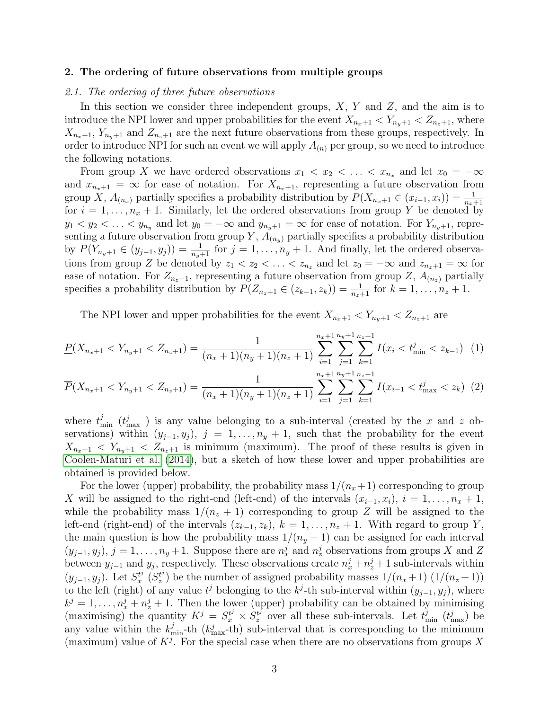## <span id="page-2-0"></span>2. The ordering of future observations from multiple groups

## 2.1. The ordering of three future observations

In this section we consider three independent groups,  $X$ ,  $Y$  and  $Z$ , and the aim is to introduce the NPI lower and upper probabilities for the event  $X_{n_x+1} < Y_{n_y+1} < Z_{n_z+1}$ , where  $X_{n_x+1}, Y_{n_y+1}$  and  $Z_{n_z+1}$  are the next future observations from these groups, respectively. In order to introduce NPI for such an event we will apply  $A_{(n)}$  per group, so we need to introduce the following notations.

From group X we have ordered observations  $x_1 < x_2 < \ldots < x_{n_x}$  and let  $x_0 = -\infty$ and  $x_{n_x+1} = \infty$  for ease of notation. For  $X_{n_x+1}$ , representing a future observation from group X,  $A_{(n_x)}$  partially specifies a probability distribution by  $P(X_{n_x+1} \in (x_{i-1}, x_i)) = \frac{1}{n_x+1}$ for  $i = 1, \ldots, n_x + 1$ . Similarly, let the ordered observations from group Y be denoted by  $y_1 < y_2 < \ldots < y_{n_y}$  and let  $y_0 = -\infty$  and  $y_{n_y+1} = \infty$  for ease of notation. For  $Y_{n_y+1}$ , representing a future observation from group Y,  $A_{(n_y)}$  partially specifies a probability distribution by  $P(Y_{n_y+1} \in (y_{j-1}, y_j)) = \frac{1}{n_y+1}$  for  $j = 1, \ldots, n_y+1$ . And finally, let the ordered observations from group Z be denoted by  $z_1 < z_2 < \ldots < z_{n_z}$  and let  $z_0 = -\infty$  and  $z_{n_z+1} = \infty$  for ease of notation. For  $Z_{n_z+1}$ , representing a future observation from group  $Z$ ,  $A_{(n_z)}$  partially specifies a probability distribution by  $P(Z_{n_z+1} \in (z_{k-1}, z_k)) = \frac{1}{n_z+1}$  for  $k = 1, \ldots, n_z + 1$ .

<span id="page-2-2"></span><span id="page-2-1"></span>The NPI lower and upper probabilities for the event  $X_{n_x+1} < Y_{n_y+1} < Z_{n_z+1}$  are

$$
\underline{P}(X_{n_x+1} < Y_{n_y+1} < Z_{n_z+1}) = \frac{1}{(n_x+1)(n_y+1)(n_z+1)} \sum_{i=1}^{n_x+1} \sum_{j=1}^{n_y+1} \sum_{k=1}^{n_z+1} I(x_i < t_{\min}^j < z_{k-1}) \tag{1}
$$

$$
\overline{P}(X_{n_x+1} < Y_{n_y+1} < Z_{n_z+1}) = \frac{1}{(n_x+1)(n_y+1)(n_z+1)} \sum_{i=1}^{n_x+1} \sum_{j=1}^{n_y+1} \sum_{k=1}^{n_z+1} I(x_{i-1} < t_{\text{max}}^j < z_k) \tag{2}
$$

where  $t_{\min}^j$  ( $t_{\max}^j$ ) is any value belonging to a sub-interval (created by the x and z observations) within  $(y_{j-1}, y_j)$ ,  $j = 1, \ldots, n_y + 1$ , such that the probability for the event  $X_{n_x+1} < Y_{n_y+1} < Z_{n_z+1}$  is minimum (maximum). The proof of these results is given in [Coolen-Maturi et al.](#page-19-9) [\(2014\)](#page-19-9), but a sketch of how these lower and upper probabilities are obtained is provided below.

For the lower (upper) probability, the probability mass  $1/(n_x+1)$  corresponding to group X will be assigned to the right-end (left-end) of the intervals  $(x_{i-1}, x_i)$ ,  $i = 1, \ldots, n_x + 1$ , while the probability mass  $1/(n_z + 1)$  corresponding to group Z will be assigned to the left-end (right-end) of the intervals  $(z_{k-1}, z_k)$ ,  $k = 1, \ldots, n_z + 1$ . With regard to group Y, the main question is how the probability mass  $1/(n_y + 1)$  can be assigned for each interval  $(y_{j-1}, y_j)$ ,  $j = 1, \ldots, n_y + 1$ . Suppose there are  $n_x^j$  and  $n_z^j$  observations from groups X and Z between  $y_{j-1}$  and  $y_j$ , respectively. These observations create  $n_x^j + n_z^j + 1$  sub-intervals within  $(y_{j-1}, y_j)$ . Let  $S_x^{t^j}$  $\stackrel{t^j}{x}(S^{t^j}_z$  $\binom{t^j}{z}$  be the number of assigned probability masses  $1/(n_x+1)$   $(1/(n_z+1))$ to the left (right) of any value  $t^j$  belonging to the  $k^j$ -th sub-interval within  $(y_{j-1}, y_j)$ , where  $k^j = 1, \ldots, n_x^j + n_z^j + 1$ . Then the lower (upper) probability can be obtained by minimising (maximising) the quantity  $K^j = S_x^{t^j} \times S_z^{t^j}$  $z^{tj}$  over all these sub-intervals. Let  $t_{\min}^j$   $(t_{\max}^j)$  be any value within the  $k_{\text{min}}^j$ -th  $(k_{\text{max}}^j$ -th) sub-interval that is corresponding to the minimum (maximum) value of  $K^j$ . For the special case when there are no observations from groups X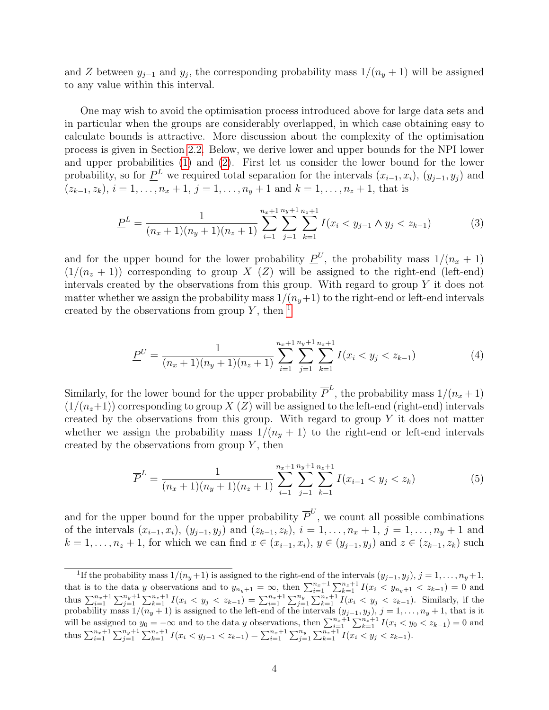and Z between  $y_{j-1}$  and  $y_j$ , the corresponding probability mass  $1/(n_y+1)$  will be assigned to any value within this interval.

One may wish to avoid the optimisation process introduced above for large data sets and in particular when the groups are considerably overlapped, in which case obtaining easy to calculate bounds is attractive. More discussion about the complexity of the optimisation process is given in Section [2.2.](#page-5-0) Below, we derive lower and upper bounds for the NPI lower and upper probabilities [\(1\)](#page-2-1) and [\(2\)](#page-2-2). First let us consider the lower bound for the lower probability, so for  $\underline{P}^L$  we required total separation for the intervals  $(x_{i-1}, x_i)$ ,  $(y_{j-1}, y_j)$  and  $(z_{k-1}, z_k), i = 1, \ldots, n_x + 1, j = 1, \ldots, n_y + 1$  and  $k = 1, \ldots, n_z + 1$ , that is

<span id="page-3-1"></span>
$$
\underline{P}^L = \frac{1}{(n_x+1)(n_y+1)(n_z+1)} \sum_{i=1}^{n_x+1} \sum_{j=1}^{n_y+1} \sum_{k=1}^{n_z+1} I(x_i < y_{j-1} \land y_j < z_{k-1}) \tag{3}
$$

and for the upper bound for the lower probability  $P^U$ , the probability mass  $1/(n_x + 1)$  $(1/(n_z + 1))$  corresponding to group X (Z) will be assigned to the right-end (left-end) intervals created by the observations from this group. With regard to group  $Y$  it does not matter whether we assign the probability mass  $1/(n_y+1)$  to the right-end or left-end intervals created by the observations from group  $Y$ , then  $<sup>1</sup>$  $<sup>1</sup>$  $<sup>1</sup>$ </sup>

<span id="page-3-2"></span>
$$
\underline{P}^U = \frac{1}{(n_x+1)(n_y+1)(n_z+1)} \sum_{i=1}^{n_x+1} \sum_{j=1}^{n_y+1} \sum_{k=1}^{n_z+1} I(x_i < y_j < z_{k-1}) \tag{4}
$$

Similarly, for the lower bound for the upper probability  $\overline{P}^L$ , the probability mass  $1/(n_x+1)$  $(1/(n_z+1))$  corresponding to group X (Z) will be assigned to the left-end (right-end) intervals created by the observations from this group. With regard to group  $Y$  it does not matter whether we assign the probability mass  $1/(n_y + 1)$  to the right-end or left-end intervals created by the observations from group  $Y$ , then

<span id="page-3-3"></span>
$$
\overline{P}^{L} = \frac{1}{(n_{x}+1)(n_{y}+1)(n_{z}+1)} \sum_{i=1}^{n_{x}+1} \sum_{j=1}^{n_{y}+1} \sum_{k=1}^{n_{z}+1} I(x_{i-1} < y_{j} < z_{k}) \tag{5}
$$

and for the upper bound for the upper probability  $\overline{P}^U$ , we count all possible combinations of the intervals  $(x_{i-1}, x_i)$ ,  $(y_{j-1}, y_j)$  and  $(z_{k-1}, z_k)$ ,  $i = 1, \ldots, n_x + 1$ ,  $j = 1, \ldots, n_y + 1$  and  $k = 1, \ldots, n_z + 1$ , for which we can find  $x \in (x_{i-1}, x_i)$ ,  $y \in (y_{j-1}, y_j)$  and  $z \in (z_{k-1}, z_k)$  such

<span id="page-3-0"></span><sup>&</sup>lt;sup>1</sup>If the probability mass  $1/(n_y+1)$  is assigned to the right-end of the intervals  $(y_{j-1}, y_j)$ ,  $j = 1, ..., n_y+1$ , that is to the data y observations and to  $y_{n_y+1} = \infty$ , then  $\sum_{i=1}^{n_x+1} \sum_{k=1}^{n_z+1} I(x_i \le y_{n_y+1} \le z_{k-1}) = 0$  and thus  $\sum_{i=1}^{n_x+1} \sum_{j=1}^{n_y+1} \sum_{k=1}^{n_z+1} I(x_i \le y_j \le z_{k-1}) = \sum_{i=1}^{n_x+1} \sum_{j=1}^{n_y} \sum_{k=1}^{n_z+1} I(x_i \le y_j \le z_{k-1}).$  Similarly, if the probability mass  $1/(n_y+1)$  is assigned to the left-end of the intervals  $(y_{j-1}, y_j)$ ,  $j = 1, \ldots, n_y+1$ , that is it will be assigned to  $y_0 = -\infty$  and to the data y observations, then  $\sum_{i=1}^{n_x+1} \sum_{k=1}^{n_x+1} I(x_i \le y_0 \le z_{k-1}) = 0$  and thus  $\sum_{i=1}^{n_x+1} \sum_{j=1}^{n_y+1} \sum_{k=1}^{n_z+1} I(x_i \leq y_{j-1} \leq z_{k-1}) = \sum_{i=1}^{n_x+1} \sum_{j=1}^{n_y} \sum_{k=1}^{n_z+1} I(x_i \leq y_j \leq z_{k-1}).$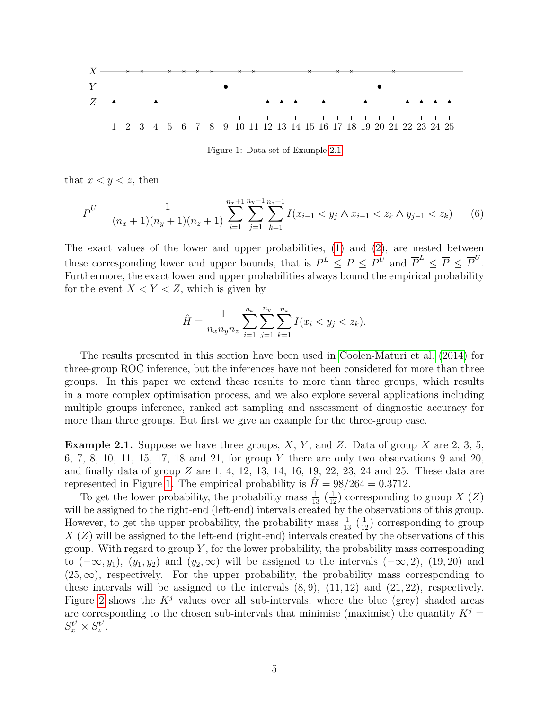

<span id="page-4-2"></span><span id="page-4-1"></span>Figure 1: Data set of Example [2.1](#page-4-0)

that  $x < y < z$ , then

$$
\overline{P}^U = \frac{1}{(n_x+1)(n_y+1)(n_z+1)} \sum_{i=1}^{n_x+1} \sum_{j=1}^{n_y+1} \sum_{k=1}^{n_z+1} I(x_{i-1} < y_j \wedge x_{i-1} < z_k \wedge y_{j-1} < z_k) \tag{6}
$$

The exact values of the lower and upper probabilities, [\(1\)](#page-2-1) and [\(2\)](#page-2-2), are nested between these corresponding lower and upper bounds, that is  $\underline{P}^L \leq \underline{P} \leq \underline{P}^U$  and  $\overline{P}^L \leq \overline{P} \leq \overline{P}^U$ . Furthermore, the exact lower and upper probabilities always bound the empirical probability for the event  $X < Y < Z$ , which is given by

$$
\hat{H} = \frac{1}{n_x n_y n_z} \sum_{i=1}^{n_x} \sum_{j=1}^{n_y} \sum_{k=1}^{n_z} I(x_i < y_j < z_k).
$$

The results presented in this section have been used in [Coolen-Maturi et al.](#page-19-9) [\(2014\)](#page-19-9) for three-group ROC inference, but the inferences have not been considered for more than three groups. In this paper we extend these results to more than three groups, which results in a more complex optimisation process, and we also explore several applications including multiple groups inference, ranked set sampling and assessment of diagnostic accuracy for more than three groups. But first we give an example for the three-group case.

<span id="page-4-0"></span>**Example 2.1.** Suppose we have three groups,  $X, Y$ , and  $Z$ . Data of group  $X$  are 2, 3, 5, 6, 7, 8, 10, 11, 15, 17, 18 and 21, for group Y there are only two observations 9 and 20, and finally data of group  $Z$  are 1, 4, 12, 13, 14, 16, 19, 22, 23, 24 and 25. These data are represented in Figure [1.](#page-4-1) The empirical probability is  $H = 98/264 = 0.3712$ .

To get the lower probability, the probability mass  $\frac{1}{13}$  ( $\frac{1}{12}$ ) corresponding to group X (Z) will be assigned to the right-end (left-end) intervals created by the observations of this group. However, to get the upper probability, the probability mass  $\frac{1}{13}$   $(\frac{1}{12})$  corresponding to group  $X(Z)$  will be assigned to the left-end (right-end) intervals created by the observations of this group. With regard to group  $Y$ , for the lower probability, the probability mass corresponding to  $(-\infty, y_1)$ ,  $(y_1, y_2)$  and  $(y_2, \infty)$  will be assigned to the intervals  $(-\infty, 2)$ ,  $(19, 20)$  and  $(25,\infty)$ , respectively. For the upper probability, the probability mass corresponding to these intervals will be assigned to the intervals  $(8, 9)$ ,  $(11, 12)$  and  $(21, 22)$ , respectively. Figure [2](#page-5-1) shows the  $K^j$  values over all sub-intervals, where the blue (grey) shaded areas are corresponding to the chosen sub-intervals that minimise (maximise) the quantity  $K^j$  =  $S_x^{t^j} \times S_z^{t^j}$  $\frac{t^j}{z}$  .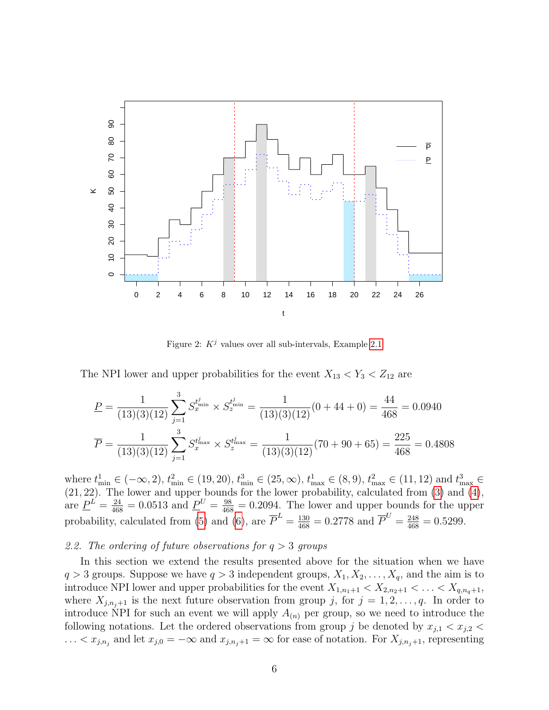

<span id="page-5-1"></span>Figure 2:  $K^j$  values over all sub-intervals, Example [2.1](#page-4-0)

The NPI lower and upper probabilities for the event  $X_{13} < Y_3 < Z_{12}$  are

$$
\underline{P} = \frac{1}{(13)(3)(12)} \sum_{j=1}^{3} S_x^{t_{\min}^j} \times S_z^{t_{\min}^j} = \frac{1}{(13)(3)(12)} (0 + 44 + 0) = \frac{44}{468} = 0.0940
$$

$$
\overline{P} = \frac{1}{(13)(3)(12)} \sum_{j=1}^{3} S_x^{t_{\max}^j} \times S_z^{t_{\max}^j} = \frac{1}{(13)(3)(12)} (70 + 90 + 65) = \frac{225}{468} = 0.4808
$$

where  $t_{\min}^1 \in (-\infty, 2)$ ,  $t_{\min}^2 \in (19, 20)$ ,  $t_{\min}^3 \in (25, \infty)$ ,  $t_{\max}^1 \in (8, 9)$ ,  $t_{\max}^2 \in (11, 12)$  and  $t_{\max}^3 \in$ (21, 22). The lower and upper bounds for the lower probability, calculated from [\(3\)](#page-3-1) and [\(4\)](#page-3-2), are  $\underline{P}^L = \frac{24}{468} = 0.0513$  and  $\underline{P}^U = \frac{98}{468} = 0.2094$ . The lower and upper bounds for the upper probability, calculated from [\(5\)](#page-3-3) and [\(6\)](#page-4-2), are  $\overline{P}^L = \frac{130}{468} = 0.2778$  and  $\overline{P}^U = \frac{248}{468} = 0.5299$ .

## <span id="page-5-0"></span>2.2. The ordering of future observations for  $q > 3$  groups

In this section we extend the results presented above for the situation when we have  $q > 3$  groups. Suppose we have  $q > 3$  independent groups,  $X_1, X_2, \ldots, X_q$ , and the aim is to introduce NPI lower and upper probabilities for the event  $X_{1,n_1+1} < X_{2,n_2+1} < \ldots < X_{q,n_q+1}$ , where  $X_{j,n_j+1}$  is the next future observation from group j, for  $j = 1, 2, \ldots, q$ . In order to introduce NPI for such an event we will apply  $A_{(n)}$  per group, so we need to introduce the following notations. Let the ordered observations from group j be denoted by  $x_{j,1} < x_{j,2}$  $\dots < x_{j,n_j}$  and let  $x_{j,0} = -\infty$  and  $x_{j,n_j+1} = \infty$  for ease of notation. For  $X_{j,n_j+1}$ , representing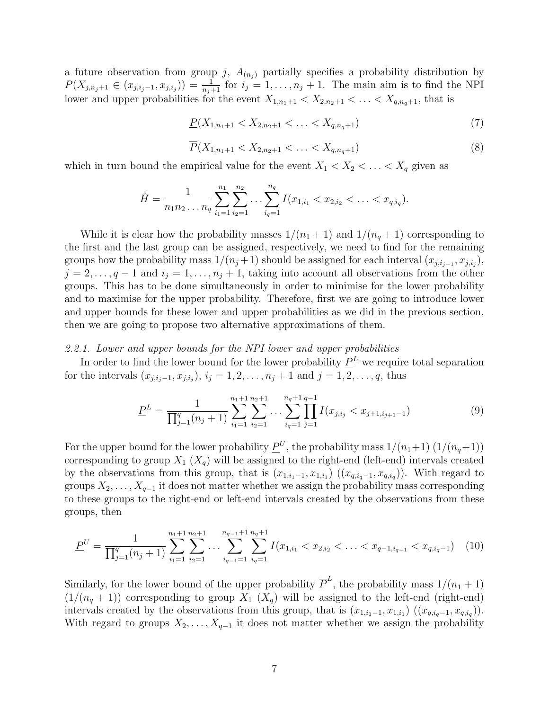a future observation from group j,  $A_{(n_i)}$  partially specifies a probability distribution by  $P(X_{j,n_j+1} \in (x_{j,i_j-1}, x_{j,i_j})) = \frac{1}{n_j+1}$  for  $i_j = 1, ..., n_j + 1$ . The main aim is to find the NPI lower and upper probabilities for the event  $X_{1,n_1+1} < X_{2,n_2+1} < \ldots < X_{q,n_q+1}$ , that is

<span id="page-6-2"></span>
$$
\underline{P}(X_{1,n_1+1} < X_{2,n_2+1} < \ldots < X_{q,n_q+1})\tag{7}
$$

<span id="page-6-3"></span>
$$
\overline{P}(X_{1,n_1+1} < X_{2,n_2+1} < \ldots < X_{q,n_q+1}) \tag{8}
$$

which in turn bound the empirical value for the event  $X_1 < X_2 < \ldots < X_q$  given as

$$
\hat{H} = \frac{1}{n_1 n_2 \dots n_q} \sum_{i_1=1}^{n_1} \sum_{i_2=1}^{n_2} \dots \sum_{i_q=1}^{n_q} I(x_{1,i_1} < x_{2,i_2} < \dots < x_{q,i_q}).
$$

While it is clear how the probability masses  $1/(n_1 + 1)$  and  $1/(n_q + 1)$  corresponding to the first and the last group can be assigned, respectively, we need to find for the remaining groups how the probability mass  $1/(n_j+1)$  should be assigned for each interval  $(x_{j,i_{j-1}}, x_{j,i_j})$ ,  $j = 2, \ldots, q - 1$  and  $i_j = 1, \ldots, n_j + 1$ , taking into account all observations from the other groups. This has to be done simultaneously in order to minimise for the lower probability and to maximise for the upper probability. Therefore, first we are going to introduce lower and upper bounds for these lower and upper probabilities as we did in the previous section, then we are going to propose two alternative approximations of them.

#### 2.2.1. Lower and upper bounds for the NPI lower and upper probabilities

In order to find the lower bound for the lower probability  $P<sup>L</sup>$  we require total separation for the intervals  $(x_{j,i_j-1}, x_{j,i_j}), i_j = 1, 2, ..., n_j + 1$  and  $j = 1, 2, ..., q$ , thus

<span id="page-6-1"></span><span id="page-6-0"></span>
$$
\underline{P}^{L} = \frac{1}{\prod_{j=1}^{q} (n_j + 1)} \sum_{i_1=1}^{n_1+1} \sum_{i_2=1}^{n_2+1} \dots \sum_{i_q=1}^{n_q+1} \prod_{j=1}^{q-1} I(x_{j,i_j} < x_{j+1,i_{j+1}-1}) \tag{9}
$$

For the upper bound for the lower probability  $\underline{P}^U$ , the probability mass  $1/(n_1+1) (1/(n_q+1))$ corresponding to group  $X_1$   $(X_q)$  will be assigned to the right-end (left-end) intervals created by the observations from this group, that is  $(x_{1,i_1-1}, x_{1,i_1})$   $((x_{q,i_q-1}, x_{q,i_q}))$ . With regard to groups  $X_2, \ldots, X_{q-1}$  it does not matter whether we assign the probability mass corresponding to these groups to the right-end or left-end intervals created by the observations from these groups, then

$$
\underline{P}^U = \frac{1}{\prod_{j=1}^q (n_j + 1)} \sum_{i_1=1}^{n_1+1} \sum_{i_2=1}^{n_2+1} \dots \sum_{i_{q-1}=1}^{n_{q-1}+1} \sum_{i_q=1}^{n_{q+1}+1} I(x_{1,i_1} < x_{2,i_2} < \dots < x_{q-1,i_{q-1}} < x_{q,i_{q-1}}) \tag{10}
$$

Similarly, for the lower bound of the upper probability  $\overline{P}^L$ , the probability mass  $1/(n_1+1)$  $(1/(n_q + 1))$  corresponding to group  $X_1$   $(X_q)$  will be assigned to the left-end (right-end) intervals created by the observations from this group, that is  $(x_{1,i_1-1}, x_{1,i_1})$   $((x_{q,i_q-1}, x_{q,i_q}))$ . With regard to groups  $X_2, \ldots, X_{q-1}$  it does not matter whether we assign the probability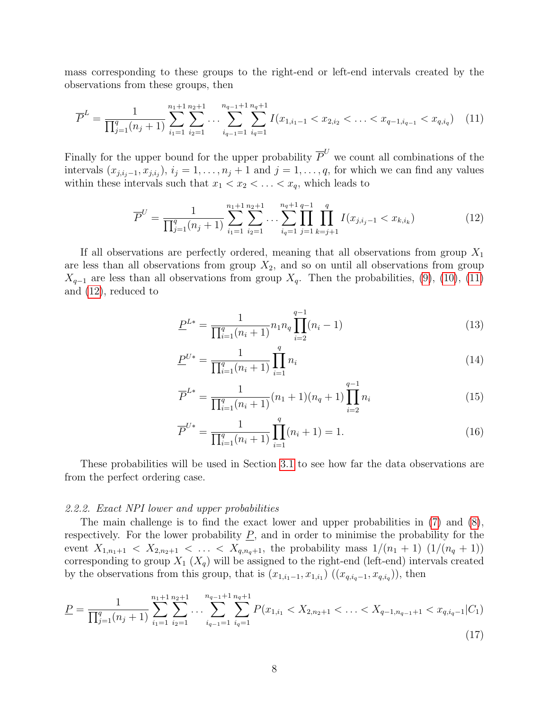mass corresponding to these groups to the right-end or left-end intervals created by the observations from these groups, then

$$
\overline{P}^{L} = \frac{1}{\prod_{j=1}^{q} (n_{j} + 1)} \sum_{i_{1}=1}^{n_{1}+1} \sum_{i_{2}=1}^{n_{2}+1} \dots \sum_{i_{q-1}=1}^{n_{q-1}+1} \sum_{i_{q}=1}^{n_{q+1}+1} I(x_{1,i_{1}-1} < x_{2,i_{2}} < \dots < x_{q-1,i_{q-1}} < x_{q,i_{q}}) \tag{11}
$$

Finally for the upper bound for the upper probability  $\overline{P}^U$  we count all combinations of the intervals  $(x_{j,i_j-1}, x_{j,i_j}), i_j = 1, \ldots, n_j + 1$  and  $j = 1, \ldots, q$ , for which we can find any values within these intervals such that  $x_1 < x_2 < \ldots < x_q$ , which leads to

<span id="page-7-0"></span>
$$
\overline{P}^U = \frac{1}{\prod_{j=1}^q (n_j + 1)} \sum_{i_1=1}^{n_1+1} \sum_{i_2=1}^{n_2+1} \dots \sum_{i_q=1}^{n_q+1} \prod_{j=1}^{q-1} \prod_{k=j+1}^q I(x_{j,i_j-1} < x_{k,i_k}) \tag{12}
$$

If all observations are perfectly ordered, meaning that all observations from group  $X_1$ are less than all observations from group  $X_2$ , and so on until all observations from group  $X_{q-1}$  are less than all observations from group  $X_q$ . Then the probabilities, [\(9\)](#page-6-0), [\(10\)](#page-6-1), [\(11\)](#page-7-0) and [\(12\)](#page-7-1), reduced to

<span id="page-7-3"></span><span id="page-7-1"></span>
$$
\underline{P}^{L*} = \frac{1}{\prod_{i=1}^{q} (n_i + 1)} n_1 n_q \prod_{i=2}^{q-1} (n_i - 1)
$$
\n(13)

$$
\underline{P}^{U*} = \frac{1}{\prod_{i=1}^{q} (n_i + 1)} \prod_{i=1}^{q} n_i
$$
\n(14)

$$
\overline{P}^{L*} = \frac{1}{\prod_{i=1}^{q} (n_i + 1)} (n_1 + 1)(n_q + 1) \prod_{i=2}^{q-1} n_i
$$
\n(15)

<span id="page-7-4"></span><span id="page-7-2"></span>
$$
\overline{P}^{U*} = \frac{1}{\prod_{i=1}^{q} (n_i + 1)} \prod_{i=1}^{q} (n_i + 1) = 1.
$$
\n(16)

These probabilities will be used in Section [3.1](#page-14-1) to see how far the data observations are from the perfect ordering case.

#### 2.2.2. Exact NPI lower and upper probabilities

The main challenge is to find the exact lower and upper probabilities in [\(7\)](#page-6-2) and [\(8\)](#page-6-3), respectively. For the lower probability  $\underline{P}$ , and in order to minimise the probability for the event  $X_{1,n_1+1} < X_{2,n_2+1} < \ldots < X_{q,n_q+1}$ , the probability mass  $1/(n_1+1)$   $(1/(n_q+1))$ corresponding to group  $X_1$   $(X_q)$  will be assigned to the right-end (left-end) intervals created by the observations from this group, that is  $(x_{1,i_1-1}, x_{1,i_1})$   $((x_{q,i_q-1}, x_{q,i_q}))$ , then

$$
\underline{P} = \frac{1}{\prod_{j=1}^{q} (n_j + 1)} \sum_{i_1=1}^{n_1+1} \sum_{i_2=1}^{n_2+1} \dots \sum_{i_{q-1}=1}^{n_{q-1}+1} \sum_{i_q=1}^{n_q+1} P(x_{1,i_1} < X_{2,n_2+1} < \dots < X_{q-1,n_{q-1}+1} < x_{q,i_q-1} | C_1) \tag{17}
$$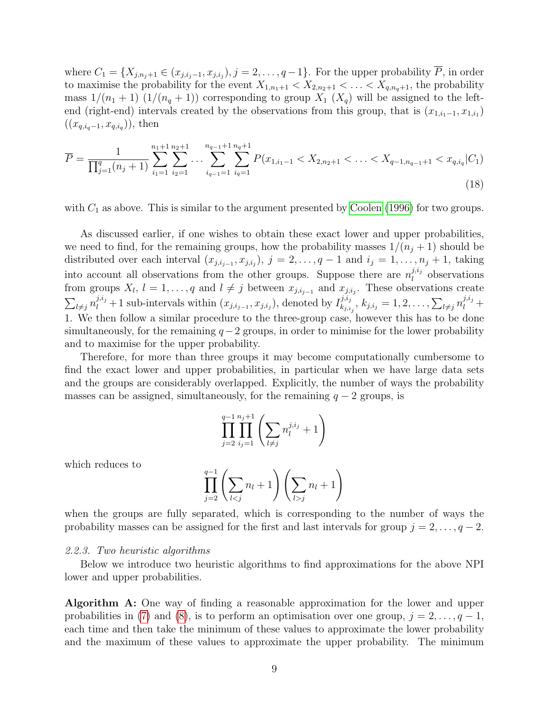where  $C_1 = \{X_{j,n_j+1} \in (x_{j,i_j-1}, x_{j,i_j}), j = 2, \ldots, q-1\}$ . For the upper probability  $\overline{P}$ , in order to maximise the probability for the event  $X_{1,n_1+1} < X_{2,n_2+1} < \ldots < X_{q,n_q+1}$ , the probability mass  $1/(n_1+1)$   $(1/(n_q+1))$  corresponding to group  $X_1$   $(X_q)$  will be assigned to the leftend (right-end) intervals created by the observations from this group, that is  $(x_{1,i_1-1}, x_{1,i_1})$  $((x_{q,i_q-1}, x_{q,i_q}))$ , then

$$
\overline{P} = \frac{1}{\prod_{j=1}^{q} (n_j + 1)} \sum_{i_1=1}^{n_1+1} \sum_{i_2=1}^{n_2+1} \dots \sum_{i_{q-1}=1}^{n_{q-1}+1} \sum_{i_q=1}^{n_q+1} P(x_{1,i_1-1} < X_{2,n_2+1} < \dots < X_{q-1,n_{q-1}+1} < x_{q,i_q} | C_1) \tag{18}
$$

with  $C_1$  as above. This is similar to the argument presented by [Coolen](#page-19-7) [\(1996\)](#page-19-7) for two groups.

As discussed earlier, if one wishes to obtain these exact lower and upper probabilities, we need to find, for the remaining groups, how the probability masses  $1/(n_j + 1)$  should be distributed over each interval  $(x_{j,i_{j-1}}, x_{j,i_j}), j = 2, \ldots, q-1$  and  $i_j = 1, \ldots, n_j + 1$ , taking into account all observations from the other groups. Suppose there are  $n_l^{j,i_j}$  $\ell_l^{j,i_j}$  observations from groups  $X_l$ ,  $l = 1, \ldots, q$  and  $l \neq j$  between  $x_{j,i_{j-1}}$  and  $x_{j,i_j}$ . These observations create  $\sum_{l\neq j} n_l^{j,i_j}+1$  sub-intervals within  $(x_{j,i_{j-1}}, x_{j,i_j})$ , denoted by  $I_{k_{j,i}}^{j,i_j}$  $\hat{y}_{k, i_{j}}^{j, i_{j}}, \, k_{j, i_{j}} = 1, 2, \ldots, \sum_{l \neq j} n_{l}^{j, i_{j}} +$ 1. We then follow a similar procedure to the three-group case, however this has to be done simultaneously, for the remaining  $q-2$  groups, in order to minimise for the lower probability and to maximise for the upper probability.

Therefore, for more than three groups it may become computationally cumbersome to find the exact lower and upper probabilities, in particular when we have large data sets and the groups are considerably overlapped. Explicitly, the number of ways the probability masses can be assigned, simultaneously, for the remaining  $q - 2$  groups, is

<span id="page-8-0"></span>
$$
\prod_{j=2}^{q-1} \prod_{i_j=1}^{n_j+1} \left( \sum_{l \neq j} n_l^{j, i_j} + 1 \right)
$$

which reduces to

$$
\prod_{j=2}^{q-1} \left( \sum_{l < j} n_l + 1 \right) \left( \sum_{l > j} n_l + 1 \right)
$$

when the groups are fully separated, which is corresponding to the number of ways the probability masses can be assigned for the first and last intervals for group  $j = 2, \ldots, q - 2$ .

#### 2.2.3. Two heuristic algorithms

Below we introduce two heuristic algorithms to find approximations for the above NPI lower and upper probabilities.

Algorithm A: One way of finding a reasonable approximation for the lower and upper probabilities in [\(7\)](#page-6-2) and [\(8\)](#page-6-3), is to perform an optimisation over one group,  $j = 2, \ldots, q - 1$ , each time and then take the minimum of these values to approximate the lower probability and the maximum of these values to approximate the upper probability. The minimum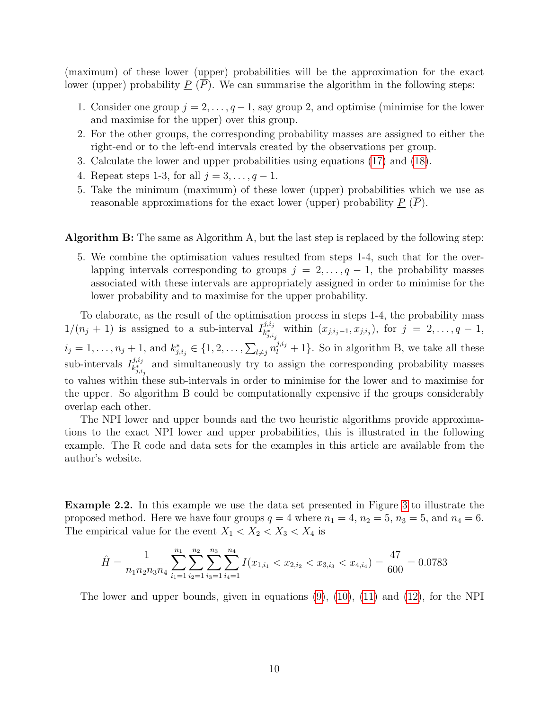(maximum) of these lower (upper) probabilities will be the approximation for the exact lower (upper) probability  $\underline{P}(\overline{P})$ . We can summarise the algorithm in the following steps:

- 1. Consider one group  $j = 2, \ldots, q-1$ , say group 2, and optimise (minimise for the lower and maximise for the upper) over this group.
- 2. For the other groups, the corresponding probability masses are assigned to either the right-end or to the left-end intervals created by the observations per group.
- 3. Calculate the lower and upper probabilities using equations [\(17\)](#page-7-2) and [\(18\)](#page-8-0).
- 4. Repeat steps 1-3, for all  $j = 3, \ldots, q 1$ .
- 5. Take the minimum (maximum) of these lower (upper) probabilities which we use as reasonable approximations for the exact lower (upper) probability  $\underline{P}(P)$ .

Algorithm B: The same as Algorithm A, but the last step is replaced by the following step:

5. We combine the optimisation values resulted from steps 1-4, such that for the overlapping intervals corresponding to groups  $j = 2, \ldots, q - 1$ , the probability masses associated with these intervals are appropriately assigned in order to minimise for the lower probability and to maximise for the upper probability.

To elaborate, as the result of the optimisation process in steps 1-4, the probability mass  $1/(n_j+1)$  is assigned to a sub-interval  $I_{k^*}^{j,i_j}$  $\lim_{k_{j,i_j}^*}$  within  $(x_{j,i_j-1}, x_{j,i_j}),$  for  $j = 2, ..., q-1,$  $i_j = 1, \ldots, n_j + 1$ , and  $k_{j,i_j}^* \in \{1, 2, \ldots, \sum_{l \neq j} n_l^{j,i_j} + 1\}$ . So in algorithm B, we take all these sub-intervals  $I_{k_{\perp}}^{j,i_j}$  $\mathbf{z}_{k,i,j}^{j,i,j}$  and simultaneously try to assign the corresponding probability masses to values within these sub-intervals in order to minimise for the lower and to maximise for the upper. So algorithm B could be computationally expensive if the groups considerably overlap each other.

The NPI lower and upper bounds and the two heuristic algorithms provide approximations to the exact NPI lower and upper probabilities, this is illustrated in the following example. The R code and data sets for the examples in this article are available from the author's website.

<span id="page-9-0"></span>Example 2.2. In this example we use the data set presented in Figure [3](#page-10-0) to illustrate the proposed method. Here we have four groups  $q = 4$  where  $n_1 = 4$ ,  $n_2 = 5$ ,  $n_3 = 5$ , and  $n_4 = 6$ . The empirical value for the event  $X_1 < X_2 < X_3 < X_4$  is

$$
\hat{H} = \frac{1}{n_1 n_2 n_3 n_4} \sum_{i_1=1}^{n_1} \sum_{i_2=1}^{n_2} \sum_{i_3=1}^{n_3} \sum_{i_4=1}^{n_4} I(x_{1,i_1} < x_{2,i_2} < x_{3,i_3} < x_{4,i_4}) = \frac{47}{600} = 0.0783
$$

The lower and upper bounds, given in equations [\(9\)](#page-6-0), [\(10\)](#page-6-1), [\(11\)](#page-7-0) and [\(12\)](#page-7-1), for the NPI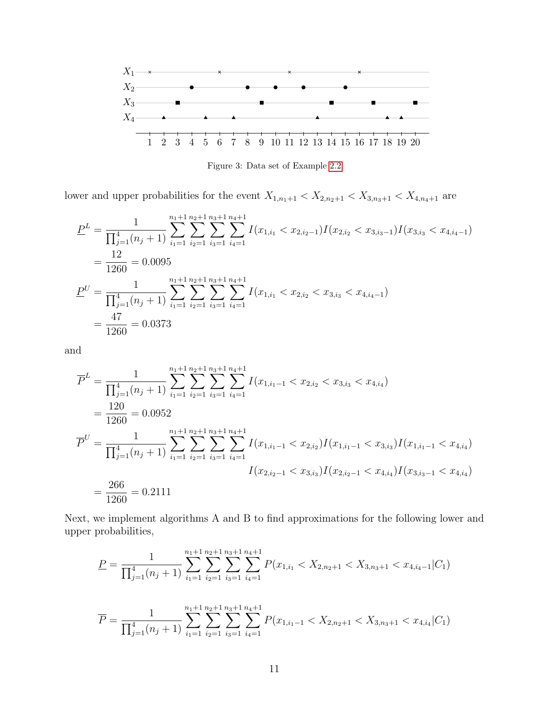

<span id="page-10-0"></span>Figure 3: Data set of Example [2.2](#page-9-0)

lower and upper probabilities for the event  $X_{1,n_1+1} < X_{2,n_2+1} < X_{3,n_3+1} < X_{4,n_4+1}$  are

$$
\underline{P}^{L} = \frac{1}{\prod_{j=1}^{4} (n_{j} + 1)} \sum_{i_{1}=1}^{n_{1}+1} \sum_{i_{2}=1}^{n_{2}+1} \sum_{i_{3}=1}^{n_{3}+1} \sum_{i_{4}=1}^{n_{4}+1} I(x_{1,i_{1}} < x_{2,i_{2}-1}) I(x_{2,i_{2}} < x_{3,i_{3}-1}) I(x_{3,i_{3}} < x_{4,i_{4}-1})
$$
  
\n
$$
= \frac{12}{1260} = 0.0095
$$
  
\n
$$
\underline{P}^{U} = \frac{1}{\prod_{j=1}^{4} (n_{j} + 1)} \sum_{i_{1}=1}^{n_{1}+1} \sum_{i_{2}=1}^{n_{2}+1} \sum_{i_{3}=1}^{n_{3}+1} \sum_{i_{4}=1}^{n_{4}+1} I(x_{1,i_{1}} < x_{2,i_{2}} < x_{3,i_{3}} < x_{4,i_{4}-1})
$$
  
\n
$$
= \frac{47}{1260} = 0.0373
$$

and

$$
\overline{P}^{L} = \frac{1}{\prod_{j=1}^{4} (n_{j} + 1)} \sum_{i_{1}=1}^{n_{1}+1} \sum_{i_{2}=1}^{n_{2}+1} \sum_{i_{3}=1}^{n_{3}+1} \sum_{i_{4}=1}^{n_{4}+1} I(x_{1,i_{1}-1} < x_{2,i_{2}} < x_{3,i_{3}} < x_{4,i_{4}})
$$
\n
$$
= \frac{120}{1260} = 0.0952
$$
\n
$$
\overline{P}^{U} = \frac{1}{\prod_{j=1}^{4} (n_{j} + 1)} \sum_{i_{1}=1}^{n_{1}+1} \sum_{i_{2}=1}^{n_{2}+1} \sum_{i_{3}=1}^{n_{3}+1} \sum_{i_{4}=1}^{n_{4}+1} I(x_{1,i_{1}-1} < x_{2,i_{2}}) I(x_{1,i_{1}-1} < x_{3,i_{3}}) I(x_{1,i_{1}-1} < x_{4,i_{4}})
$$
\n
$$
= \frac{266}{1260} = 0.2111
$$

Next, we implement algorithms A and B to find approximations for the following lower and upper probabilities,

$$
\underline{P} = \frac{1}{\prod_{j=1}^{4} (n_j + 1)} \sum_{i_1=1}^{n_1+1} \sum_{i_2=1}^{n_2+1} \sum_{i_3=1}^{n_3+1} \sum_{i_4=1}^{n_4+1} P(x_{1,i_1} < X_{2,n_2+1} < X_{3,n_3+1} < x_{4,i_4-1} | C_1)
$$
\n
$$
\overline{P} = \frac{1}{\prod_{j=1}^{4} (n_j + 1)} \sum_{i_1=1}^{n_1+1} \sum_{i_2=1}^{n_2+1} \sum_{i_3=1}^{n_3+1} \sum_{i_4=1}^{n_4+1} P(x_{1,i_1-1} < X_{2,n_2+1} < X_{3,n_3+1} < x_{4,i_4} | C_1)
$$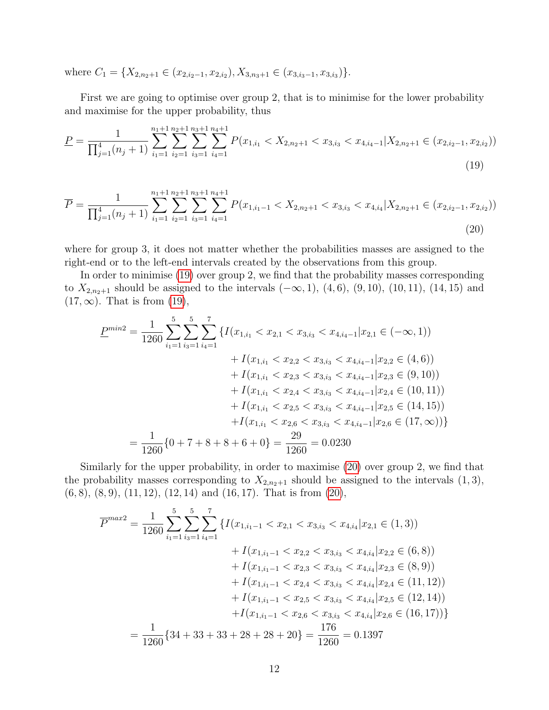where  $C_1 = \{X_{2,n_2+1} \in (x_{2,i_2-1}, x_{2,i_2}), X_{3,n_3+1} \in (x_{3,i_3-1}, x_{3,i_3})\}.$ 

First we are going to optimise over group 2, that is to minimise for the lower probability and maximise for the upper probability, thus

$$
\underline{P} = \frac{1}{\prod_{j=1}^{4} (n_j + 1)} \sum_{i_1=1}^{n_1+1} \sum_{i_2=1}^{n_2+1} \sum_{i_3=1}^{n_3+1} \sum_{i_4=1}^{n_4+1} P(x_{1,i_1} < X_{2,n_2+1} < x_{3,i_3} < x_{4,i_4-1} | X_{2,n_2+1} \in (x_{2,i_2-1}, x_{2,i_2}) \tag{19}
$$

$$
\overline{P} = \frac{1}{\prod_{j=1}^{4} (n_j + 1)} \sum_{i_1=1}^{n_1+1} \sum_{i_2=1}^{n_2+1} \sum_{i_3=1}^{n_3+1} \sum_{i_4=1}^{n_4+1} P(x_{1,i_1-1} < X_{2,n_2+1} < x_{3,i_3} < x_{4,i_4} | X_{2,n_2+1} \in (x_{2,i_2-1}, x_{2,i_2}))
$$
\n
$$
(20)
$$

where for group 3, it does not matter whether the probabilities masses are assigned to the right-end or to the left-end intervals created by the observations from this group.

In order to minimise [\(19\)](#page-11-0) over group 2, we find that the probability masses corresponding to  $X_{2,n_2+1}$  should be assigned to the intervals  $(-\infty, 1)$ ,  $(4, 6)$ ,  $(9, 10)$ ,  $(10, 11)$ ,  $(14, 15)$  and  $(17,\infty)$ . That is from  $(19)$ ,

<span id="page-11-1"></span><span id="page-11-0"></span>
$$
\underline{P}^{min2} = \frac{1}{1260} \sum_{i_1=1}^5 \sum_{i_3=1}^5 \sum_{i_4=1}^7 \left\{ I(x_{1,i_1} < x_{2,1} < x_{3,i_3} < x_{4,i_4-1} | x_{2,1} \in (-\infty, 1) \right) \\
+ I(x_{1,i_1} < x_{2,2} < x_{3,i_3} < x_{4,i_4-1} | x_{2,2} \in (4, 6)) \\
+ I(x_{1,i_1} < x_{2,3} < x_{3,i_3} < x_{4,i_4-1} | x_{2,3} \in (9, 10)) \\
+ I(x_{1,i_1} < x_{2,4} < x_{3,i_3} < x_{4,i_4-1} | x_{2,4} \in (10, 11)) \\
+ I(x_{1,i_1} < x_{2,5} < x_{3,i_3} < x_{4,i_4-1} | x_{2,5} \in (14, 15)) \\
+ I(x_{1,i_1} < x_{2,6} < x_{3,i_3} < x_{4,i_4-1} | x_{2,6} \in (17, \infty)) \}
$$
\n
$$
= \frac{1}{1260} \{ 0 + 7 + 8 + 8 + 6 + 0 \} = \frac{29}{1260} = 0.0230
$$

Similarly for the upper probability, in order to maximise [\(20\)](#page-11-1) over group 2, we find that the probability masses corresponding to  $X_{2,n_2+1}$  should be assigned to the intervals  $(1,3)$ ,  $(6, 8), (8, 9), (11, 12), (12, 14)$  and  $(16, 17)$ . That is from  $(20)$ ,

$$
\overline{P}^{max2} = \frac{1}{1260} \sum_{i_1=1}^5 \sum_{i_3=1}^5 \sum_{i_4=1}^7 \left\{ I(x_{1,i_1-1} < x_{2,1} < x_{3,i_3} < x_{4,i_4} | x_{2,1} \in (1,3) \right) \\
+ I(x_{1,i_1-1} < x_{2,2} < x_{3,i_3} < x_{4,i_4} | x_{2,2} \in (6,8) \right) \\
+ I(x_{1,i_1-1} < x_{2,3} < x_{3,i_3} < x_{4,i_4} | x_{2,3} \in (8,9) \right) \\
+ I(x_{1,i_1-1} < x_{2,4} < x_{3,i_3} < x_{4,i_4} | x_{2,4} \in (11,12) \right) \\
+ I(x_{1,i_1-1} < x_{2,5} < x_{3,i_3} < x_{4,i_4} | x_{2,5} \in (12,14) \right) \\
+ I(x_{1,i_1-1} < x_{2,6} < x_{3,i_3} < x_{4,i_4} | x_{2,6} \in (16,17)) \}
$$
\n
$$
= \frac{1}{1260} \{34 + 33 + 33 + 28 + 28 + 20\} = \frac{176}{1260} = 0.1397
$$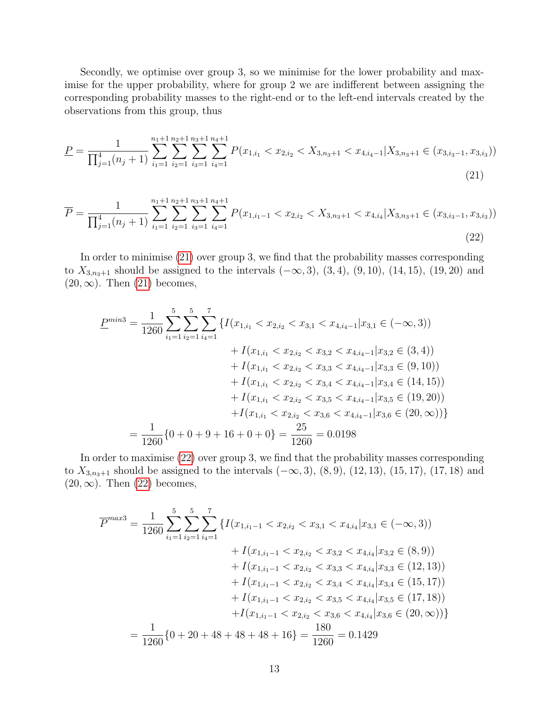Secondly, we optimise over group 3, so we minimise for the lower probability and maximise for the upper probability, where for group 2 we are indifferent between assigning the corresponding probability masses to the right-end or to the left-end intervals created by the observations from this group, thus

$$
\underline{P} = \frac{1}{\prod_{j=1}^{4} (n_j + 1)} \sum_{i_1=1}^{n_1+1} \sum_{i_2=1}^{n_2+1} \sum_{i_3=1}^{n_3+1} \sum_{i_4=1}^{n_4+1} P(x_{1,i_1} < x_{2,i_2} < X_{3,n_3+1} < x_{4,i_4-1} | X_{3,n_3+1} \in (x_{3,i_3-1}, x_{3,i_3}))
$$
\n(21)

$$
\overline{P} = \frac{1}{\prod_{j=1}^{4} (n_j + 1)} \sum_{i_1=1}^{n_1+1} \sum_{i_2=1}^{n_2+1} \sum_{i_3=1}^{n_3+1} \sum_{i_4=1}^{n_4+1} P(x_{1,i_1-1} < x_{2,i_2} < X_{3,n_3+1} < x_{4,i_4} | X_{3,n_3+1} \in (x_{3,i_3-1}, x_{3,i_3}))
$$
\n
$$
(22)
$$

In order to minimise [\(21\)](#page-12-0) over group 3, we find that the probability masses corresponding to  $X_{3,n_3+1}$  should be assigned to the intervals  $(-\infty,3)$ ,  $(3,4)$ ,  $(9,10)$ ,  $(14,15)$ ,  $(19,20)$  and  $(20, \infty)$ . Then  $(21)$  becomes,

<span id="page-12-1"></span><span id="page-12-0"></span>
$$
\underline{P}^{min3} = \frac{1}{1260} \sum_{i_1=1}^{5} \sum_{i_2=1}^{7} \left\{ I(x_{1,i_1} < x_{2,i_2} < x_{3,1} < x_{4,i_4-1} | x_{3,1} \in (-\infty, 3) \right) \right. \\
 \left. + I(x_{1,i_1} < x_{2,i_2} < x_{3,2} < x_{4,i_4-1} | x_{3,2} \in (3, 4) \right) \\
 \left. + I(x_{1,i_1} < x_{2,i_2} < x_{3,3} < x_{4,i_4-1} | x_{3,3} \in (9, 10) \right) \\
 \left. + I(x_{1,i_1} < x_{2,i_2} < x_{3,4} < x_{4,i_4-1} | x_{3,4} \in (14, 15) \right) \\
 \left. + I(x_{1,i_1} < x_{2,i_2} < x_{3,5} < x_{4,i_4-1} | x_{3,5} \in (19, 20) \right) \\
 \left. + I(x_{1,i_1} < x_{2,i_2} < x_{3,6} < x_{4,i_4-1} | x_{3,6} \in (20, \infty) \right) \right\} \\
 = \frac{1}{1260} \{ 0 + 0 + 9 + 16 + 0 + 0 \} = \frac{25}{1260} = 0.0198
$$

In order to maximise [\(22\)](#page-12-1) over group 3, we find that the probability masses corresponding to  $X_{3,n_3+1}$  should be assigned to the intervals  $(-\infty,3)$ ,  $(8,9)$ ,  $(12,13)$ ,  $(15,17)$ ,  $(17,18)$  and  $(20,\infty)$ . Then  $(22)$  becomes,

$$
\overline{P}^{max3} = \frac{1}{1260} \sum_{i_1=1}^5 \sum_{i_2=1}^5 \left\{ I(x_{1,i_1-1} < x_{2,i_2} < x_{3,1} < x_{4,i_4} | x_{3,1} \in (-\infty, 3) \right) \\
+ I(x_{1,i_1-1} < x_{2,i_2} < x_{3,2} < x_{4,i_4} | x_{3,2} \in (8, 9) \right) \\
+ I(x_{1,i_1-1} < x_{2,i_2} < x_{3,3} < x_{4,i_4} | x_{3,3} \in (12, 13) \right) \\
+ I(x_{1,i_1-1} < x_{2,i_2} < x_{3,4} < x_{4,i_4} | x_{3,4} \in (15, 17) \right) \\
+ I(x_{1,i_1-1} < x_{2,i_2} < x_{3,5} < x_{4,i_4} | x_{3,5} \in (17, 18) \right) \\
+ I(x_{1,i_1-1} < x_{2,i_2} < x_{3,6} < x_{4,i_4} | x_{3,6} \in (20, \infty)) \}
$$
\n
$$
= \frac{1}{1260} \{ 0 + 20 + 48 + 48 + 48 + 16 \} = \frac{180}{1260} = 0.1429
$$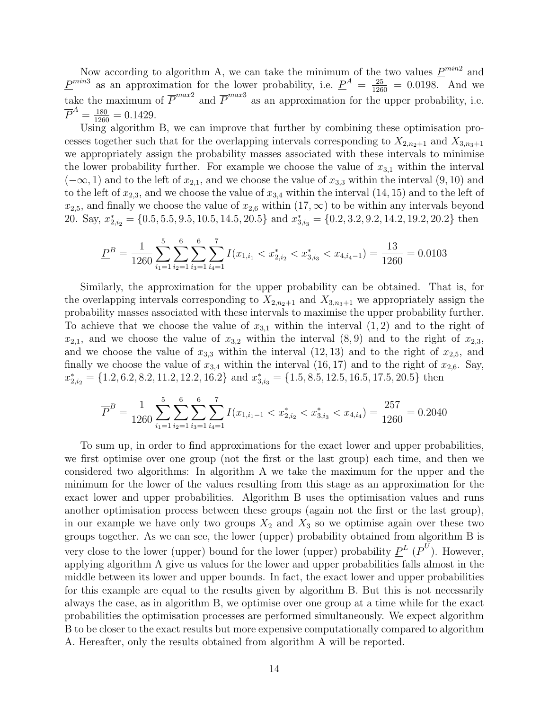Now according to algorithm A, we can take the minimum of the two values  $\underline{P}^{min2}$  and  $\underline{P}^{min3}$  as an approximation for the lower probability, i.e.  $\underline{P}^A = \frac{25}{1260} = 0.0198$ . And we take the maximum of  $\overline{P}^{max2}$  and  $\overline{P}^{max3}$  as an approximation for the upper probability, i.e.  $\overline{P}^A = \frac{180}{1260} = 0.1429.$ 

Using algorithm B, we can improve that further by combining these optimisation processes together such that for the overlapping intervals corresponding to  $X_{2,n_2+1}$  and  $X_{3,n_3+1}$ we appropriately assign the probability masses associated with these intervals to minimise the lower probability further. For example we choose the value of  $x_{3,1}$  within the interval  $(-\infty, 1)$  and to the left of  $x_{2,1}$ , and we choose the value of  $x_{3,3}$  within the interval  $(9, 10)$  and to the left of  $x_{2,3}$ , and we choose the value of  $x_{3,4}$  within the interval (14, 15) and to the left of  $x_{2,5}$ , and finally we choose the value of  $x_{2,6}$  within  $(17,\infty)$  to be within any intervals beyond 20. Say,  $x_{2,i_2}^* = \{0.5, 5.5, 9.5, 10.5, 14.5, 20.5\}$  and  $x_{3,i_3}^* = \{0.2, 3.2, 9.2, 14.2, 19.2, 20.2\}$  then

$$
\underline{P}^B = \frac{1}{1260} \sum_{i_1=1}^5 \sum_{i_2=1}^6 \sum_{i_3=1}^6 \sum_{i_4=1}^7 I(x_{1,i_1} < x_{2,i_2}^* < x_{3,i_3}^* < x_{4,i_4-1}) = \frac{13}{1260} = 0.0103
$$

Similarly, the approximation for the upper probability can be obtained. That is, for the overlapping intervals corresponding to  $X_{2,n_2+1}$  and  $X_{3,n_3+1}$  we appropriately assign the probability masses associated with these intervals to maximise the upper probability further. To achieve that we choose the value of  $x_{3,1}$  within the interval  $(1, 2)$  and to the right of  $x_{2,1}$ , and we choose the value of  $x_{3,2}$  within the interval  $(8,9)$  and to the right of  $x_{2,3}$ , and we choose the value of  $x_{3,3}$  within the interval  $(12, 13)$  and to the right of  $x_{2,5}$ , and finally we choose the value of  $x_{3,4}$  within the interval  $(16, 17)$  and to the right of  $x_{2,6}$ . Say,  $x_{2,i_2}^* = \{1.2, 6.2, 8.2, 11.2, 12.2, 16.2\}$  and  $x_{3,i_3}^* = \{1.5, 8.5, 12.5, 16.5, 17.5, 20.5\}$  then

$$
\overline{P}^B = \frac{1}{1260} \sum_{i_1=1}^5 \sum_{i_2=1}^6 \sum_{i_3=1}^6 \sum_{i_4=1}^7 I(x_{1,i_1-1} < x_{2,i_2}^* < x_{3,i_3}^* < x_{4,i_4}) = \frac{257}{1260} = 0.2040
$$

To sum up, in order to find approximations for the exact lower and upper probabilities, we first optimise over one group (not the first or the last group) each time, and then we considered two algorithms: In algorithm A we take the maximum for the upper and the minimum for the lower of the values resulting from this stage as an approximation for the exact lower and upper probabilities. Algorithm B uses the optimisation values and runs another optimisation process between these groups (again not the first or the last group), in our example we have only two groups  $X_2$  and  $X_3$  so we optimise again over these two groups together. As we can see, the lower (upper) probability obtained from algorithm B is very close to the lower (upper) bound for the lower (upper) probability  $\underline{P}^L(\overline{P}^U)$ . However, applying algorithm A give us values for the lower and upper probabilities falls almost in the middle between its lower and upper bounds. In fact, the exact lower and upper probabilities for this example are equal to the results given by algorithm B. But this is not necessarily always the case, as in algorithm B, we optimise over one group at a time while for the exact probabilities the optimisation processes are performed simultaneously. We expect algorithm B to be closer to the exact results but more expensive computationally compared to algorithm A. Hereafter, only the results obtained from algorithm A will be reported.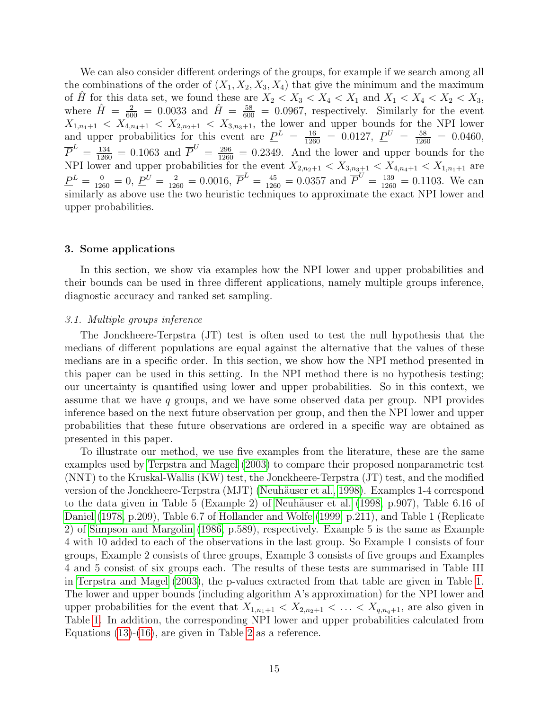We can also consider different orderings of the groups, for example if we search among all the combinations of the order of  $(X_1, X_2, X_3, X_4)$  that give the minimum and the maximum of  $\hat{H}$  for this data set, we found these are  $X_2 < X_3 < X_4 < X_1$  and  $X_1 < X_4 < X_2 < X_3$ , where  $\hat{H} = \frac{2}{600} = 0.0033$  and  $\hat{H} = \frac{58}{600} = 0.0967$ , respectively. Similarly for the event  $X_{1,n_1+1} < X_{4,n_4+1} < X_{2,n_2+1} < X_{3,n_3+1}$ , the lower and upper bounds for the NPI lower and upper probabilities for this event are  $\underline{P}^L = \frac{16}{1260} = 0.0127$ ,  $\underline{P}^U = \frac{58}{1260} = 0.0460$ ,  $\overline{P}^L = \frac{134}{1260} = 0.1063$  and  $\overline{P}^U = \frac{296}{1260} = 0.2349$ . And the lower and upper bounds for the NPI lower and upper probabilities for the event  $X_{2,n_2+1} < X_{3,n_3+1} < X_{4,n_4+1} < X_{1,n_1+1}$  are  $\underline{P}^L = \frac{0}{1260} = 0, \ \underline{P}^U = \frac{2}{1260} = 0.0016, \ \overline{P}^L = \frac{45}{1260} = 0.0357 \text{ and } \overline{P}^U = \frac{139}{1260} = 0.1103.$  We can similarly as above use the two heuristic techniques to approximate the exact NPI lower and upper probabilities.

## <span id="page-14-0"></span>3. Some applications

In this section, we show via examples how the NPI lower and upper probabilities and their bounds can be used in three different applications, namely multiple groups inference, diagnostic accuracy and ranked set sampling.

#### <span id="page-14-1"></span>3.1. Multiple groups inference

The Jonckheere-Terpstra (JT) test is often used to test the null hypothesis that the medians of different populations are equal against the alternative that the values of these medians are in a specific order. In this section, we show how the NPI method presented in this paper can be used in this setting. In the NPI method there is no hypothesis testing; our uncertainty is quantified using lower and upper probabilities. So in this context, we assume that we have  $q$  groups, and we have some observed data per group. NPI provides inference based on the next future observation per group, and then the NPI lower and upper probabilities that these future observations are ordered in a specific way are obtained as presented in this paper.

To illustrate our method, we use five examples from the literature, these are the same examples used by [Terpstra and Magel](#page-20-0) [\(2003\)](#page-20-0) to compare their proposed nonparametric test (NNT) to the Kruskal-Wallis (KW) test, the Jonckheere-Terpstra (JT) test, and the modified version of the Jonckheere-Terpstra (MJT) (Neuhäuser et al., 1998). Examples 1-4 correspond to the data given in Table 5 (Example 2) of Neuhäuser et al. [\(1998,](#page-20-6) p.907), Table 6.16 of [Daniel](#page-19-10) [\(1978,](#page-19-10) p.209), Table 6.7 of [Hollander and Wolfe](#page-20-7) [\(1999,](#page-20-7) p.211), and Table 1 (Replicate 2) of [Simpson and Margolin](#page-20-8) [\(1986,](#page-20-8) p.589), respectively. Example 5 is the same as Example 4 with 10 added to each of the observations in the last group. So Example 1 consists of four groups, Example 2 consists of three groups, Example 3 consists of five groups and Examples 4 and 5 consist of six groups each. The results of these tests are summarised in Table III in [Terpstra and Magel](#page-20-0) [\(2003\)](#page-20-0), the p-values extracted from that table are given in Table [1.](#page-16-0) The lower and upper bounds (including algorithm A's approximation) for the NPI lower and upper probabilities for the event that  $X_{1,n_1+1} < X_{2,n_2+1} < \ldots < X_{q,n_q+1}$ , are also given in Table [1.](#page-16-0) In addition, the corresponding NPI lower and upper probabilities calculated from Equations [\(13\)](#page-7-3)-[\(16\)](#page-7-4), are given in Table [2](#page-16-1) as a reference.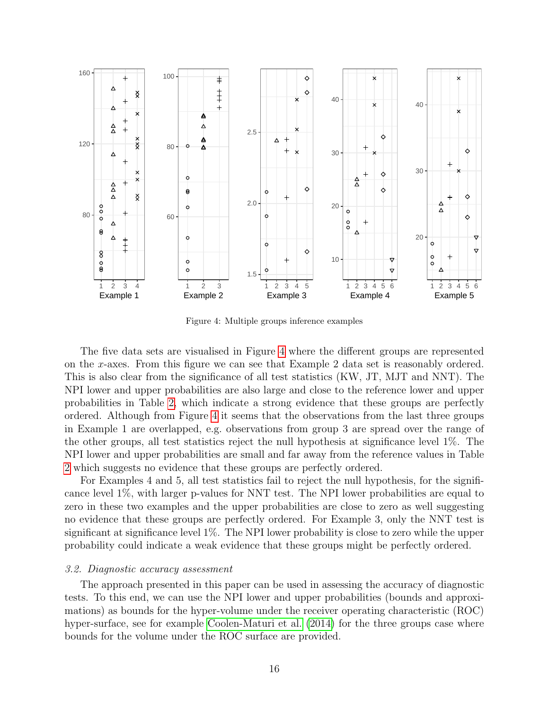

<span id="page-15-0"></span>Figure 4: Multiple groups inference examples

The five data sets are visualised in Figure [4](#page-15-0) where the different groups are represented on the x-axes. From this figure we can see that Example 2 data set is reasonably ordered. This is also clear from the significance of all test statistics (KW, JT, MJT and NNT). The NPI lower and upper probabilities are also large and close to the reference lower and upper probabilities in Table [2,](#page-16-1) which indicate a strong evidence that these groups are perfectly ordered. Although from Figure [4](#page-15-0) it seems that the observations from the last three groups in Example 1 are overlapped, e.g. observations from group 3 are spread over the range of the other groups, all test statistics reject the null hypothesis at significance level 1%. The NPI lower and upper probabilities are small and far away from the reference values in Table [2](#page-16-1) which suggests no evidence that these groups are perfectly ordered.

For Examples 4 and 5, all test statistics fail to reject the null hypothesis, for the significance level 1%, with larger p-values for NNT test. The NPI lower probabilities are equal to zero in these two examples and the upper probabilities are close to zero as well suggesting no evidence that these groups are perfectly ordered. For Example 3, only the NNT test is significant at significance level 1%. The NPI lower probability is close to zero while the upper probability could indicate a weak evidence that these groups might be perfectly ordered.

#### 3.2. Diagnostic accuracy assessment

The approach presented in this paper can be used in assessing the accuracy of diagnostic tests. To this end, we can use the NPI lower and upper probabilities (bounds and approximations) as bounds for the hyper-volume under the receiver operating characteristic (ROC) hyper-surface, see for example [Coolen-Maturi et al.](#page-19-9) [\(2014\)](#page-19-9) for the three groups case where bounds for the volume under the ROC surface are provided.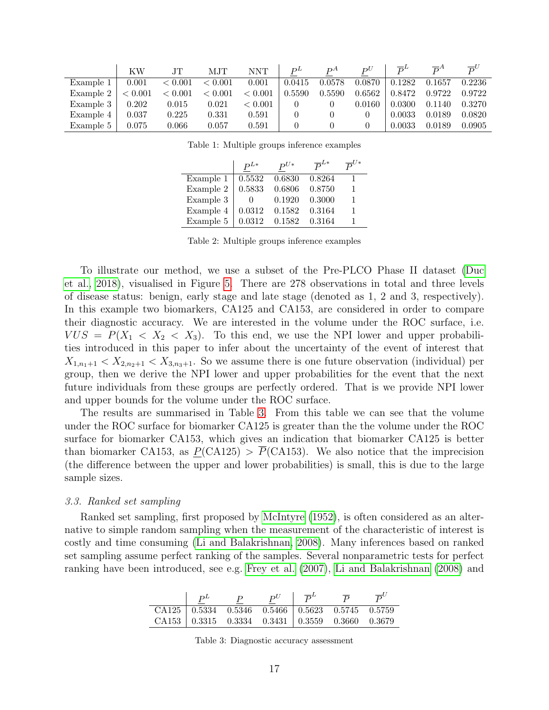|           | ΚW      | JT.       | MJT     | NNT     | $D^L$  | DА     | $D^U$  | $\overline{D}^L$ | $\overline{D}^A$ | $\overline{P}^U$ |
|-----------|---------|-----------|---------|---------|--------|--------|--------|------------------|------------------|------------------|
| Example 1 | 0.001   | < 0.001   | < 0.001 | 0.001   | 0.0415 | 0.0578 | 0.0870 | 0.1282           | 0.1657           | 0.2236           |
| Example 2 | < 0.001 | < 0.001   | < 0.001 | < 0.001 | 0.5590 | 0.5590 | 0.6562 | 0.8472           | 0.9722           | 0.9722           |
| Example 3 | 0.202   | $0.015\,$ | 0.021   | < 0.001 |        |        | 0.0160 | 0.0300           | 0.1140           | 0.3270           |
| Example 4 | 0.037   | 0.225     | 0.331   | 0.591   |        |        |        | 0.0033           | 0.0189           | 0.0820           |
| Example 5 | 0.075   | $0.066\,$ | 0.057   | 0.591   |        |        |        | 0.0033           | 0.0189           | 0.0905           |

<span id="page-16-0"></span>Table 1: Multiple groups inference examples

|           | $P^{L*}$ | $P^{U*}$ | $\overline{P}^{L*}$ | $\bar{p}^{U*}$ |
|-----------|----------|----------|---------------------|----------------|
| Example 1 | 0.5532   | 0.6830   | 0.8264              |                |
| Example 2 | 0.5833   | 0.6806   | 0.8750              |                |
| Example 3 |          | 0.1920   | 0.3000              |                |
| Example 4 | 0.0312   | 0.1582   | 0.3164              |                |
| Example 5 | 0.0312   | 0.1582   | 0.3164              |                |

<span id="page-16-1"></span>Table 2: Multiple groups inference examples

To illustrate our method, we use a subset of the Pre-PLCO Phase II dataset [\(Duc](#page-19-11) [et al., 2018\)](#page-19-11), visualised in Figure [5.](#page-17-0) There are 278 observations in total and three levels of disease status: benign, early stage and late stage (denoted as 1, 2 and 3, respectively). In this example two biomarkers, CA125 and CA153, are considered in order to compare their diagnostic accuracy. We are interested in the volume under the ROC surface, i.e.  $VUS = P(X_1 < X_2 < X_3)$ . To this end, we use the NPI lower and upper probabilities introduced in this paper to infer about the uncertainty of the event of interest that  $X_{1,n_1+1} < X_{2,n_2+1} < X_{3,n_3+1}$ . So we assume there is one future observation (individual) per group, then we derive the NPI lower and upper probabilities for the event that the next future individuals from these groups are perfectly ordered. That is we provide NPI lower and upper bounds for the volume under the ROC surface.

The results are summarised in Table [3.](#page-16-2) From this table we can see that the volume under the ROC surface for biomarker CA125 is greater than the the volume under the ROC surface for biomarker CA153, which gives an indication that biomarker CA125 is better than biomarker CA153, as  $P(CA125) > \overline{P}(C A153)$ . We also notice that the imprecision (the difference between the upper and lower probabilities) is small, this is due to the large sample sizes.

## 3.3. Ranked set sampling

Ranked set sampling, first proposed by [McIntyre](#page-20-1) [\(1952\)](#page-20-1), is often considered as an alternative to simple random sampling when the measurement of the characteristic of interest is costly and time consuming [\(Li and Balakrishnan, 2008\)](#page-20-2). Many inferences based on ranked set sampling assume perfect ranking of the samples. Several nonparametric tests for perfect ranking have been introduced, see e.g. [Frey et al.](#page-19-12) [\(2007\)](#page-19-12), [Li and Balakrishnan](#page-20-2) [\(2008\)](#page-20-2) and

|                                                               | $D^L$ | $P^U$ | $\overline{D}^L$ |                                                               |  |
|---------------------------------------------------------------|-------|-------|------------------|---------------------------------------------------------------|--|
|                                                               |       |       |                  | CA125   $0.5334$ $0.5346$ $0.5466$ $0.5623$ $0.5745$ $0.5759$ |  |
| CA153   $0.3315$ $0.3334$ $0.3431$ $0.3559$ $0.3660$ $0.3679$ |       |       |                  |                                                               |  |

<span id="page-16-2"></span>Table 3: Diagnostic accuracy assessment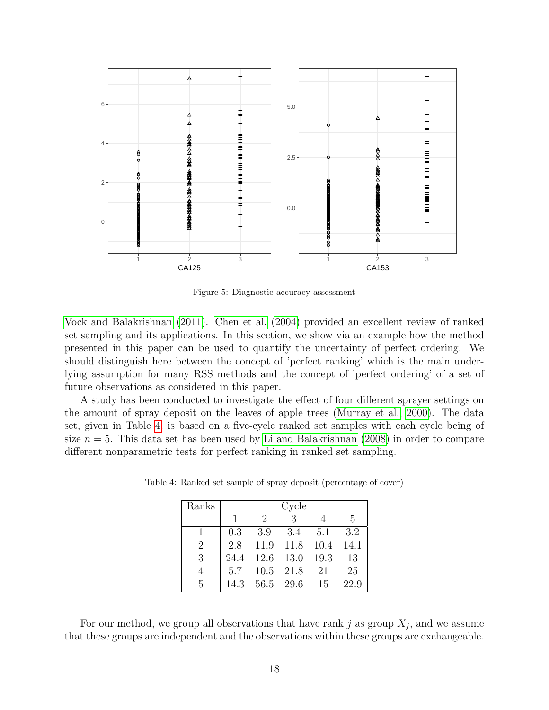

<span id="page-17-0"></span>Figure 5: Diagnostic accuracy assessment

[Vock and Balakrishnan](#page-20-9) [\(2011\)](#page-20-9). [Chen et al.](#page-19-13) [\(2004\)](#page-19-13) provided an excellent review of ranked set sampling and its applications. In this section, we show via an example how the method presented in this paper can be used to quantify the uncertainty of perfect ordering. We should distinguish here between the concept of 'perfect ranking' which is the main underlying assumption for many RSS methods and the concept of 'perfect ordering' of a set of future observations as considered in this paper.

A study has been conducted to investigate the effect of four different sprayer settings on the amount of spray deposit on the leaves of apple trees [\(Murray et al., 2000\)](#page-20-10). The data set, given in Table [4,](#page-17-1) is based on a five-cycle ranked set samples with each cycle being of size  $n = 5$ . This data set has been used by [Li and Balakrishnan](#page-20-2) [\(2008\)](#page-20-2) in order to compare different nonparametric tests for perfect ranking in ranked set sampling.

<span id="page-17-1"></span>

| Ranks          | Cycle |               |           |      |      |  |  |
|----------------|-------|---------------|-----------|------|------|--|--|
|                |       | $\mathcal{D}$ | 3         |      | .5   |  |  |
|                | 0.3   | 3.9           | 3.4       | 5.1  | 3.2  |  |  |
| $\overline{2}$ | 2.8   |               | 11.9 11.8 | 10.4 | 14.1 |  |  |
| 3              | 24.4  | $12.6$ 13.0   |           | 19.3 | 13   |  |  |
| 4              | 5.7   | 10.5 21.8     |           | -21  | 25   |  |  |
| 5              | 14.3  | 56.5 29.6     |           | 15   | 22.9 |  |  |

Table 4: Ranked set sample of spray deposit (percentage of cover)

For our method, we group all observations that have rank j as group  $X_j$ , and we assume that these groups are independent and the observations within these groups are exchangeable.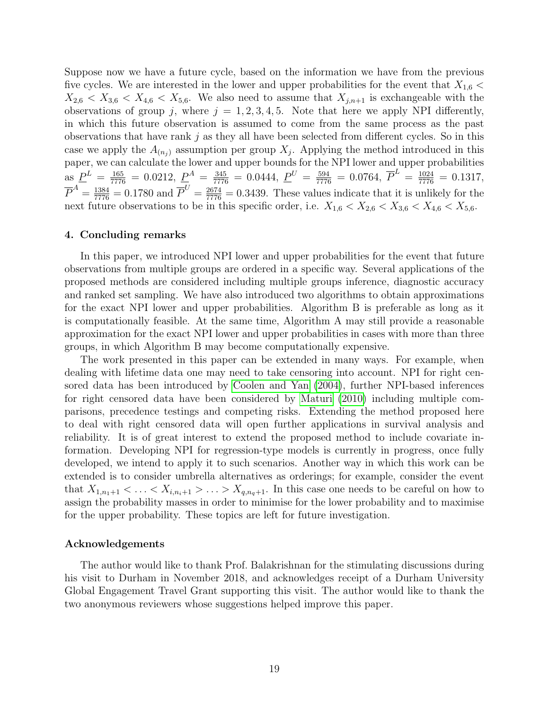Suppose now we have a future cycle, based on the information we have from the previous five cycles. We are interested in the lower and upper probabilities for the event that  $X_{1,6}$  <  $X_{2,6} < X_{3,6} < X_{4,6} < X_{5,6}$ . We also need to assume that  $X_{j,n+1}$  is exchangeable with the observations of group j, where  $j = 1, 2, 3, 4, 5$ . Note that here we apply NPI differently, in which this future observation is assumed to come from the same process as the past observations that have rank  $j$  as they all have been selected from different cycles. So in this case we apply the  $A_{(n_j)}$  assumption per group  $X_j$ . Applying the method introduced in this paper, we can calculate the lower and upper bounds for the NPI lower and upper probabilities as  $\underline{P}^L = \frac{165}{7776} = 0.0212$ ,  $\underline{P}^A = \frac{345}{7776} = 0.0444$ ,  $\underline{P}^U = \frac{594}{7776} = 0.0764$ ,  $\overline{P}^L = \frac{1024}{7776} = 0.1317$ ,  $\overline{P}^A = \frac{1384}{7776} = 0.1780$  and  $\overline{P}^U = \frac{2674}{7776} = 0.3439$ . These values indicate that it is unlikely for the next future observations to be in this specific order, i.e.  $X_{1,6} < X_{2,6} < X_{3,6} < X_{4,6} < X_{5,6}$ .

## <span id="page-18-0"></span>4. Concluding remarks

In this paper, we introduced NPI lower and upper probabilities for the event that future observations from multiple groups are ordered in a specific way. Several applications of the proposed methods are considered including multiple groups inference, diagnostic accuracy and ranked set sampling. We have also introduced two algorithms to obtain approximations for the exact NPI lower and upper probabilities. Algorithm B is preferable as long as it is computationally feasible. At the same time, Algorithm A may still provide a reasonable approximation for the exact NPI lower and upper probabilities in cases with more than three groups, in which Algorithm B may become computationally expensive.

The work presented in this paper can be extended in many ways. For example, when dealing with lifetime data one may need to take censoring into account. NPI for right censored data has been introduced by [Coolen and Yan](#page-19-14) [\(2004\)](#page-19-14), further NPI-based inferences for right censored data have been considered by [Maturi](#page-20-11) [\(2010\)](#page-20-11) including multiple comparisons, precedence testings and competing risks. Extending the method proposed here to deal with right censored data will open further applications in survival analysis and reliability. It is of great interest to extend the proposed method to include covariate information. Developing NPI for regression-type models is currently in progress, once fully developed, we intend to apply it to such scenarios. Another way in which this work can be extended is to consider umbrella alternatives as orderings; for example, consider the event that  $X_{1,n_1+1} < \ldots < X_{i,n_i+1} > \ldots > X_{q,n_q+1}$ . In this case one needs to be careful on how to assign the probability masses in order to minimise for the lower probability and to maximise for the upper probability. These topics are left for future investigation.

#### Acknowledgements

The author would like to thank Prof. Balakrishnan for the stimulating discussions during his visit to Durham in November 2018, and acknowledges receipt of a Durham University Global Engagement Travel Grant supporting this visit. The author would like to thank the two anonymous reviewers whose suggestions helped improve this paper.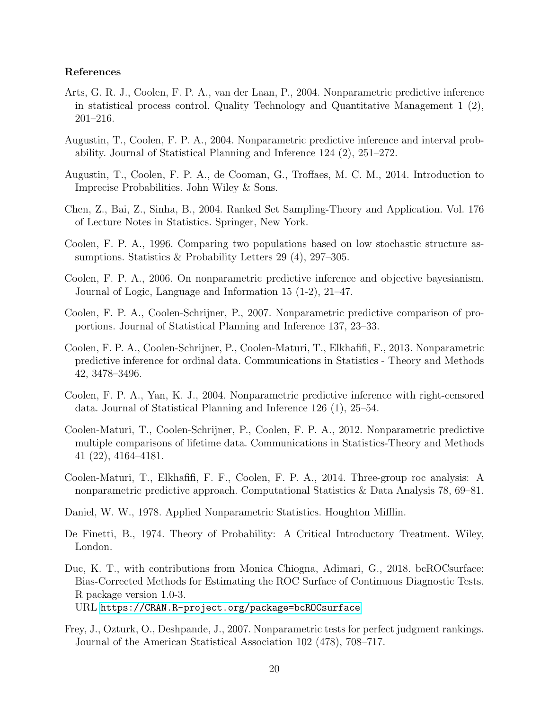## References

- <span id="page-19-4"></span>Arts, G. R. J., Coolen, F. P. A., van der Laan, P., 2004. Nonparametric predictive inference in statistical process control. Quality Technology and Quantitative Management 1 (2), 201–216.
- <span id="page-19-0"></span>Augustin, T., Coolen, F. P. A., 2004. Nonparametric predictive inference and interval probability. Journal of Statistical Planning and Inference 124 (2), 251–272.
- <span id="page-19-3"></span>Augustin, T., Coolen, F. P. A., de Cooman, G., Troffaes, M. C. M., 2014. Introduction to Imprecise Probabilities. John Wiley & Sons.
- <span id="page-19-13"></span>Chen, Z., Bai, Z., Sinha, B., 2004. Ranked Set Sampling-Theory and Application. Vol. 176 of Lecture Notes in Statistics. Springer, New York.
- <span id="page-19-7"></span>Coolen, F. P. A., 1996. Comparing two populations based on low stochastic structure assumptions. Statistics & Probability Letters 29 (4), 297–305.
- <span id="page-19-1"></span>Coolen, F. P. A., 2006. On nonparametric predictive inference and objective bayesianism. Journal of Logic, Language and Information 15 (1-2), 21–47.
- <span id="page-19-5"></span>Coolen, F. P. A., Coolen-Schrijner, P., 2007. Nonparametric predictive comparison of proportions. Journal of Statistical Planning and Inference 137, 23–33.
- <span id="page-19-6"></span>Coolen, F. P. A., Coolen-Schrijner, P., Coolen-Maturi, T., Elkhafifi, F., 2013. Nonparametric predictive inference for ordinal data. Communications in Statistics - Theory and Methods 42, 3478–3496.
- <span id="page-19-14"></span>Coolen, F. P. A., Yan, K. J., 2004. Nonparametric predictive inference with right-censored data. Journal of Statistical Planning and Inference 126 (1), 25–54.
- <span id="page-19-8"></span>Coolen-Maturi, T., Coolen-Schrijner, P., Coolen, F. P. A., 2012. Nonparametric predictive multiple comparisons of lifetime data. Communications in Statistics-Theory and Methods 41 (22), 4164–4181.
- <span id="page-19-9"></span>Coolen-Maturi, T., Elkhafifi, F. F., Coolen, F. P. A., 2014. Three-group roc analysis: A nonparametric predictive approach. Computational Statistics & Data Analysis 78, 69–81.
- <span id="page-19-10"></span>Daniel, W. W., 1978. Applied Nonparametric Statistics. Houghton Mifflin.
- <span id="page-19-2"></span>De Finetti, B., 1974. Theory of Probability: A Critical Introductory Treatment. Wiley, London.
- <span id="page-19-11"></span>Duc, K. T., with contributions from Monica Chiogna, Adimari, G., 2018. bcROCsurface: Bias-Corrected Methods for Estimating the ROC Surface of Continuous Diagnostic Tests. R package version 1.0-3. URL <https://CRAN.R-project.org/package=bcROCsurface>
- <span id="page-19-12"></span>Frey, J., Ozturk, O., Deshpande, J., 2007. Nonparametric tests for perfect judgment rankings. Journal of the American Statistical Association 102 (478), 708–717.